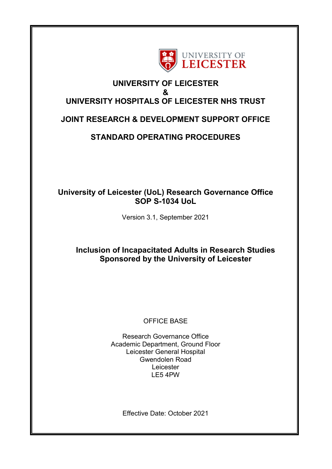

# **UNIVERSITY OF LEICESTER & UNIVERSITY HOSPITALS OF LEICESTER NHS TRUST**

# **JOINT RESEARCH & DEVELOPMENT SUPPORT OFFICE**

# **STANDARD OPERATING PROCEDURES**

# **University of Leicester (UoL) Research Governance Office SOP S-1034 UoL**

Version 3.1, September 2021

## **Inclusion of Incapacitated Adults in Research Studies Sponsored by the University of Leicester**

### OFFICE BASE

Research Governance Office Academic Department, Ground Floor Leicester General Hospital Gwendolen Road Leicester LE5 4PW

Effective Date: October 2021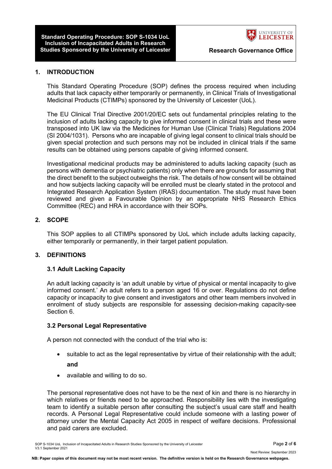**Standard Operating Procedure: SOP S-1034 UoL Inclusion of Incapacitated Adults in Research Studies Sponsored by the University of Leicester The Research Governance Office** 



#### **1. INTRODUCTION**

This Standard Operating Procedure (SOP) defines the process required when including adults that lack capacity either temporarily or permanently, in Clinical Trials of Investigational Medicinal Products (CTIMPs) sponsored by the University of Leicester (UoL).

The EU Clinical Trial Directive 2001/20/EC sets out fundamental principles relating to the inclusion of adults lacking capacity to give informed consent in clinical trials and these were transposed into UK law via the Medicines for Human Use (Clinical Trials) Regulations 2004 (SI 2004/1031). Persons who are incapable of giving legal consent to clinical trials should be given special protection and such persons may not be included in clinical trials if the same results can be obtained using persons capable of giving informed consent.

Investigational medicinal products may be administered to adults lacking capacity (such as persons with dementia or psychiatric patients) only when there are grounds for assuming that the direct benefit to the subject outweighs the risk. The details of how consent will be obtained and how subjects lacking capacity will be enrolled must be clearly stated in the protocol and Integrated Research Application System (IRAS) documentation. The study must have been reviewed and given a Favourable Opinion by an appropriate NHS Research Ethics Committee (REC) and HRA in accordance with their SOPs.

#### **2. SCOPE**

This SOP applies to all CTIMPs sponsored by UoL which include adults lacking capacity, either temporarily or permanently, in their target patient population.

#### **3. DEFINITIONS**

#### **3.1 Adult Lacking Capacity**

An adult lacking capacity is 'an adult unable by virtue of physical or mental incapacity to give informed consent.' An adult refers to a person aged 16 or over. Regulations do not define capacity or incapacity to give consent and investigators and other team members involved in enrolment of study subjects are responsible for assessing decision-making capacity-see Section 6.

#### **3.2 Personal Legal Representative**

A person not connected with the conduct of the trial who is:

- suitable to act as the legal representative by virtue of their relationship with the adult; **and**
- available and willing to do so.

The personal representative does not have to be the next of kin and there is no hierarchy in which relatives or friends need to be approached. Responsibility lies with the investigating team to identify a suitable person after consulting the subject's usual care staff and health records. A Personal Legal Representative could include someone with a lasting power of attorney under the Mental Capacity Act 2005 in respect of welfare decisions. Professional and paid carers are excluded.

Next Review: September 2023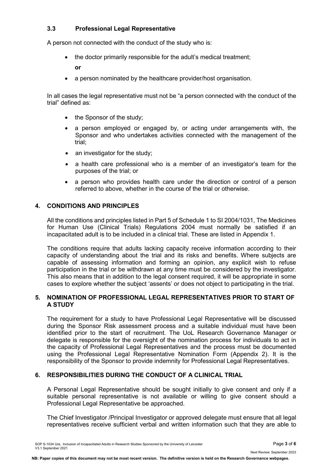### **3.3 Professional Legal Representative**

A person not connected with the conduct of the study who is:

• the doctor primarily responsible for the adult's medical treatment;

**or**

• a person nominated by the healthcare provider/host organisation.

In all cases the legal representative must not be "a person connected with the conduct of the trial" defined as:

- the Sponsor of the study;
- a person employed or engaged by, or acting under arrangements with, the Sponsor and who undertakes activities connected with the management of the trial;
- an investigator for the study;
- a health care professional who is a member of an investigator's team for the purposes of the trial; or
- a person who provides health care under the direction or control of a person referred to above, whether in the course of the trial or otherwise.

### **4. CONDITIONS AND PRINCIPLES**

All the conditions and principles listed in Part 5 of Schedule 1 to SI 2004/1031, The Medicines for Human Use (Clinical Trials) Regulations 2004 must normally be satisfied if an incapacitated adult is to be included in a clinical trial. These are listed in Appendix 1.

The conditions require that adults lacking capacity receive information according to their capacity of understanding about the trial and its risks and benefits. Where subjects are capable of assessing information and forming an opinion, any explicit wish to refuse participation in the trial or be withdrawn at any time must be considered by the investigator. This also means that in addition to the legal consent required, it will be appropriate in some cases to explore whether the subject 'assents' or does not object to participating in the trial.

#### **5. NOMINATION OF PROFESSIONAL LEGAL REPRESENTATIVES PRIOR TO START OF A STUDY**

The requirement for a study to have Professional Legal Representative will be discussed during the Sponsor Risk assessment process and a suitable individual must have been identified prior to the start of recruitment. The UoL Research Governance Manager or delegate is responsible for the oversight of the nomination process for individuals to act in the capacity of Professional Legal Representatives and the process must be documented using the Professional Legal Representative Nomination Form (Appendix 2). It is the responsibility of the Sponsor to provide indemnity for Professional Legal Representatives.

### **6. RESPONSIBILITIES DURING THE CONDUCT OF A CLINICAL TRIAL**

A Personal Legal Representative should be sought initially to give consent and only if a suitable personal representative is not available or willing to give consent should a Professional Legal Representative be approached.

The Chief Investigator /Principal Investigator or approved delegate must ensure that all legal representatives receive sufficient verbal and written information such that they are able to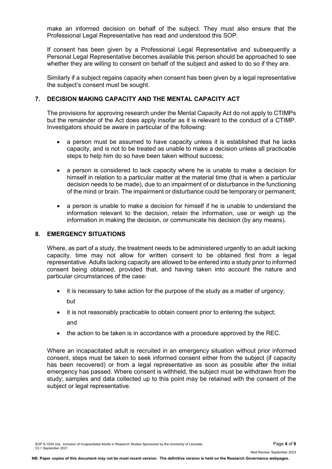make an informed decision on behalf of the subject. They must also ensure that the Professional Legal Representative has read and understood this SOP.

If consent has been given by a Professional Legal Representative and subsequently a Personal Legal Representative becomes available this person should be approached to see whether they are willing to consent on behalf of the subject and asked to do so if they are.

Similarly if a subject regains capacity when consent has been given by a legal representative the subject's consent must be sought.

#### **7. DECISION MAKING CAPACITY AND THE MENTAL CAPACITY ACT**

The provisions for approving research under the Mental Capacity Act do not apply to CTIMPs but the remainder of the Act does apply insofar as it is relevant to the conduct of a CTIMP. Investigators should be aware in particular of the following:

- a person must be assumed to have capacity unless it is established that he lacks capacity, and is not to be treated as unable to make a decision unless all practicable steps to help him do so have been taken without success;
- a person is considered to lack capacity where he is unable to make a decision for himself in relation to a particular matter at the material time (that is when a particular decision needs to be made), due to an impairment of or disturbance in the functioning of the mind or brain. The impairment or disturbance could be temporary or permanent;
- a person is unable to make a decision for himself if he is unable to understand the information relevant to the decision, retain the information, use or weigh up the information in making the decision, or communicate his decision (by any means).

#### **8. EMERGENCY SITUATIONS**

Where, as part of a study, the treatment needs to be administered urgently to an adult lacking capacity, time may not allow for written consent to be obtained first from a legal representative. Adults lacking capacity are allowed to be entered into a study prior to informed consent being obtained, provided that, and having taken into account the nature and particular circumstances of the case:

- it is necessary to take action for the purpose of the study as a matter of urgency; but
- it is not reasonably practicable to obtain consent prior to entering the subject; and
- the action to be taken is in accordance with a procedure approved by the REC.

Where an incapacitated adult is recruited in an emergency situation without prior informed consent, steps must be taken to seek informed consent either from the subject (if capacity has been recovered) or from a legal representative as soon as possible after the initial emergency has passed. Where consent is withheld, the subject must be withdrawn from the study; samples and data collected up to this point may be retained with the consent of the subject or legal representative.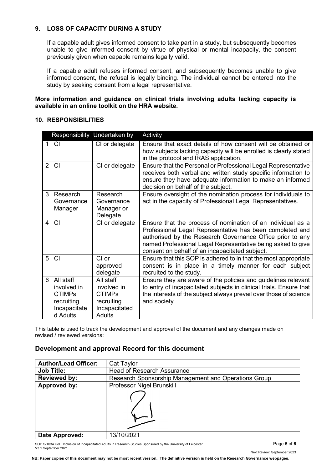### **9. LOSS OF CAPACITY DURING A STUDY**

If a capable adult gives informed consent to take part in a study, but subsequently becomes unable to give informed consent by virtue of physical or mental incapacity, the consent previously given when capable remains legally valid.

If a capable adult refuses informed consent, and subsequently becomes unable to give informed consent, the refusal is legally binding. The individual cannot be entered into the study by seeking consent from a legal representative.

**More information and guidance on clinical trials involving adults lacking capacity is available in an online toolkit on the HRA website.**

### **10. RESPONSIBILITIES**

| Responsibility Undertaken by |                                                                                     |                                                                                    | Activity                                                                                                                                                                                                                                                                                              |
|------------------------------|-------------------------------------------------------------------------------------|------------------------------------------------------------------------------------|-------------------------------------------------------------------------------------------------------------------------------------------------------------------------------------------------------------------------------------------------------------------------------------------------------|
| 1                            | <b>CI</b>                                                                           | CI or delegate                                                                     | Ensure that exact details of how consent will be obtained or<br>how subjects lacking capacity will be enrolled is clearly stated<br>in the protocol and IRAS application.                                                                                                                             |
| $\overline{2}$               | <b>CI</b>                                                                           | CI or delegate                                                                     | Ensure that the Personal or Professional Legal Representative<br>receives both verbal and written study specific information to<br>ensure they have adequate information to make an informed<br>decision on behalf of the subject.                                                                    |
| 3                            | Research<br>Governance<br>Manager                                                   | Research<br>Governance<br>Manager or<br>Delegate                                   | Ensure oversight of the nomination process for individuals to<br>act in the capacity of Professional Legal Representatives.                                                                                                                                                                           |
| 4                            | СI                                                                                  | CI or delegate                                                                     | Ensure that the process of nomination of an individual as a<br>Professional Legal Representative has been completed and<br>authorised by the Research Governance Office prior to any<br>named Professional Legal Representative being asked to give<br>consent on behalf of an incapacitated subject. |
| 5                            | <b>CI</b>                                                                           | $Cl$ or<br>approved<br>delegate                                                    | Ensure that this SOP is adhered to in that the most appropriate<br>consent is in place in a timely manner for each subject<br>recruited to the study.                                                                                                                                                 |
| 6                            | All staff<br>involved in<br><b>CTIMPs</b><br>recruiting<br>Incapacitate<br>d Adults | All staff<br>involved in<br><b>CTIMPs</b><br>recruiting<br>Incapacitated<br>Adults | Ensure they are aware of the policies and guidelines relevant<br>to entry of incapacitated subjects in clinical trials. Ensure that<br>the interests of the subject always prevail over those of science<br>and society.                                                                              |

This table is used to track the development and approval of the document and any changes made on revised / reviewed versions:

#### **Development and approval Record for this document**

| <b>Author/Lead Officer:</b> | Cat Taylor                                           |
|-----------------------------|------------------------------------------------------|
| <b>Job Title:</b>           | <b>Head of Research Assurance</b>                    |
| <b>Reviewed by:</b>         | Research Sponsorship Management and Operations Group |
| Approved by:                | Professor Nigel Brunskill                            |
|                             |                                                      |
| Date Approved:              | 13/10/2021                                           |

SOP S-1034 UoL Inclusion of Incapacitated Adults in Research Studies Sponsored by the University of Leicester Page **5** of **6** V3.1 September 2021

Next Review: September 2023

**NB: Paper copies of this document may not be most recent version. The definitive version is held on the Research Governance webpages.**